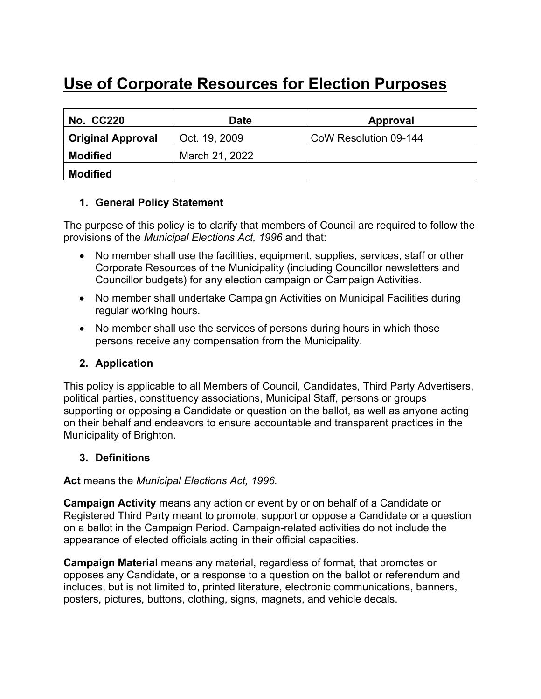# **Use of Corporate Resources for Election Purposes**

| <b>No. CC220</b>         | Date           | Approval              |
|--------------------------|----------------|-----------------------|
| <b>Original Approval</b> | Oct. 19, 2009  | CoW Resolution 09-144 |
| <b>Modified</b>          | March 21, 2022 |                       |
| <b>Modified</b>          |                |                       |

# **1. General Policy Statement**

The purpose of this policy is to clarify that members of Council are required to follow the provisions of the *Municipal Elections Act, 1996* and that:

- No member shall use the facilities, equipment, supplies, services, staff or other Corporate Resources of the Municipality (including Councillor newsletters and Councillor budgets) for any election campaign or Campaign Activities.
- No member shall undertake Campaign Activities on Municipal Facilities during regular working hours.
- No member shall use the services of persons during hours in which those persons receive any compensation from the Municipality.

# **2. Application**

This policy is applicable to all Members of Council, Candidates, Third Party Advertisers, political parties, constituency associations, Municipal Staff, persons or groups supporting or opposing a Candidate or question on the ballot, as well as anyone acting on their behalf and endeavors to ensure accountable and transparent practices in the Municipality of Brighton.

# **3. Definitions**

**Act** means the *Municipal Elections Act, 1996.*

**Campaign Activity** means any action or event by or on behalf of a Candidate or Registered Third Party meant to promote, support or oppose a Candidate or a question on a ballot in the Campaign Period. Campaign-related activities do not include the appearance of elected officials acting in their official capacities.

**Campaign Material** means any material, regardless of format, that promotes or opposes any Candidate, or a response to a question on the ballot or referendum and includes, but is not limited to, printed literature, electronic communications, banners, posters, pictures, buttons, clothing, signs, magnets, and vehicle decals.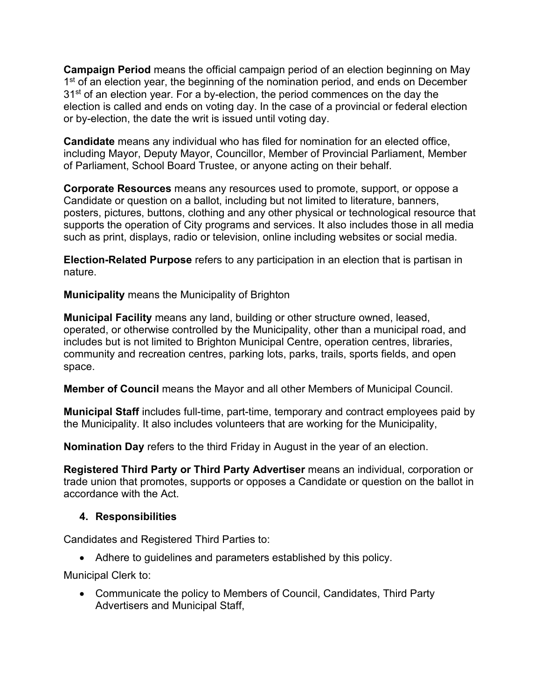**Campaign Period** means the official campaign period of an election beginning on May 1<sup>st</sup> of an election year, the beginning of the nomination period, and ends on December 31<sup>st</sup> of an election year. For a by-election, the period commences on the day the election is called and ends on voting day. In the case of a provincial or federal election or by-election, the date the writ is issued until voting day.

**Candidate** means any individual who has filed for nomination for an elected office, including Mayor, Deputy Mayor, Councillor, Member of Provincial Parliament, Member of Parliament, School Board Trustee, or anyone acting on their behalf.

**Corporate Resources** means any resources used to promote, support, or oppose a Candidate or question on a ballot, including but not limited to literature, banners, posters, pictures, buttons, clothing and any other physical or technological resource that supports the operation of City programs and services. It also includes those in all media such as print, displays, radio or television, online including websites or social media.

**Election-Related Purpose** refers to any participation in an election that is partisan in nature.

**Municipality** means the Municipality of Brighton

**Municipal Facility** means any land, building or other structure owned, leased, operated, or otherwise controlled by the Municipality, other than a municipal road, and includes but is not limited to Brighton Municipal Centre, operation centres, libraries, community and recreation centres, parking lots, parks, trails, sports fields, and open space.

**Member of Council** means the Mayor and all other Members of Municipal Council.

**Municipal Staff** includes full-time, part-time, temporary and contract employees paid by the Municipality. It also includes volunteers that are working for the Municipality,

**Nomination Day** refers to the third Friday in August in the year of an election.

**Registered Third Party or Third Party Advertiser** means an individual, corporation or trade union that promotes, supports or opposes a Candidate or question on the ballot in accordance with the Act.

# **4. Responsibilities**

Candidates and Registered Third Parties to:

• Adhere to guidelines and parameters established by this policy.

Municipal Clerk to:

• Communicate the policy to Members of Council, Candidates, Third Party Advertisers and Municipal Staff,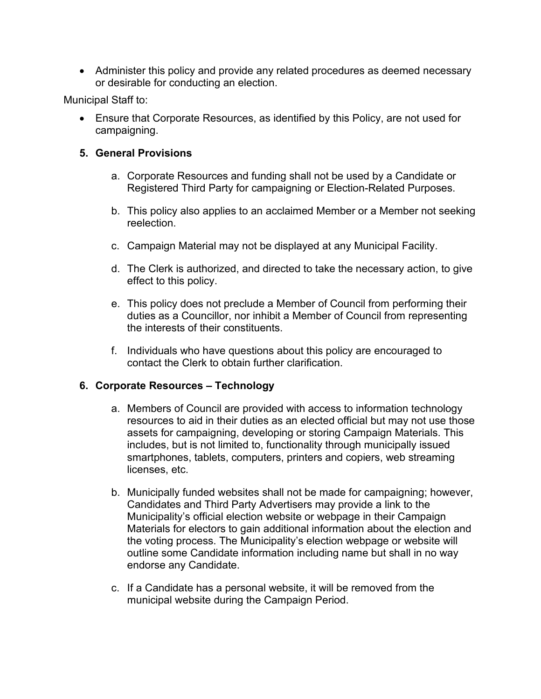• Administer this policy and provide any related procedures as deemed necessary or desirable for conducting an election.

Municipal Staff to:

• Ensure that Corporate Resources, as identified by this Policy, are not used for campaigning.

# **5. General Provisions**

- a. Corporate Resources and funding shall not be used by a Candidate or Registered Third Party for campaigning or Election-Related Purposes.
- b. This policy also applies to an acclaimed Member or a Member not seeking reelection.
- c. Campaign Material may not be displayed at any Municipal Facility.
- d. The Clerk is authorized, and directed to take the necessary action, to give effect to this policy.
- e. This policy does not preclude a Member of Council from performing their duties as a Councillor, nor inhibit a Member of Council from representing the interests of their constituents.
- f. Individuals who have questions about this policy are encouraged to contact the Clerk to obtain further clarification.

# **6. Corporate Resources – Technology**

- a. Members of Council are provided with access to information technology resources to aid in their duties as an elected official but may not use those assets for campaigning, developing or storing Campaign Materials. This includes, but is not limited to, functionality through municipally issued smartphones, tablets, computers, printers and copiers, web streaming licenses, etc.
- b. Municipally funded websites shall not be made for campaigning; however, Candidates and Third Party Advertisers may provide a link to the Municipality's official election website or webpage in their Campaign Materials for electors to gain additional information about the election and the voting process. The Municipality's election webpage or website will outline some Candidate information including name but shall in no way endorse any Candidate.
- c. If a Candidate has a personal website, it will be removed from the municipal website during the Campaign Period.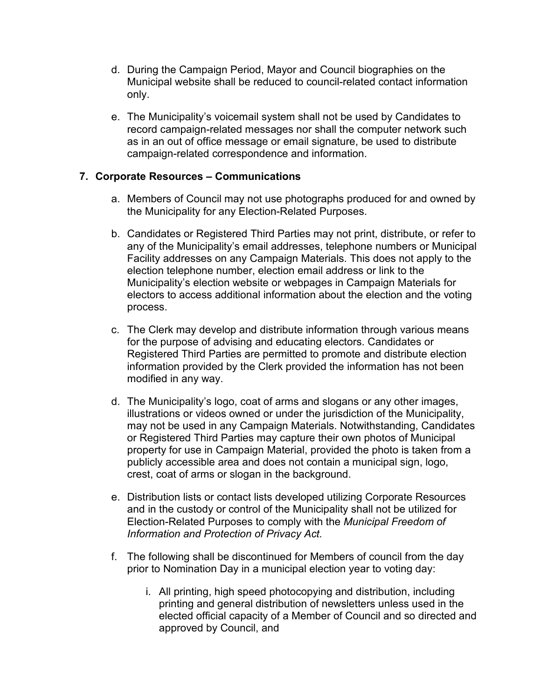- d. During the Campaign Period, Mayor and Council biographies on the Municipal website shall be reduced to council-related contact information only.
- e. The Municipality's voicemail system shall not be used by Candidates to record campaign-related messages nor shall the computer network such as in an out of office message or email signature, be used to distribute campaign-related correspondence and information.

#### **7. Corporate Resources – Communications**

- a. Members of Council may not use photographs produced for and owned by the Municipality for any Election-Related Purposes.
- b. Candidates or Registered Third Parties may not print, distribute, or refer to any of the Municipality's email addresses, telephone numbers or Municipal Facility addresses on any Campaign Materials. This does not apply to the election telephone number, election email address or link to the Municipality's election website or webpages in Campaign Materials for electors to access additional information about the election and the voting process.
- c. The Clerk may develop and distribute information through various means for the purpose of advising and educating electors. Candidates or Registered Third Parties are permitted to promote and distribute election information provided by the Clerk provided the information has not been modified in any way.
- d. The Municipality's logo, coat of arms and slogans or any other images, illustrations or videos owned or under the jurisdiction of the Municipality, may not be used in any Campaign Materials. Notwithstanding, Candidates or Registered Third Parties may capture their own photos of Municipal property for use in Campaign Material, provided the photo is taken from a publicly accessible area and does not contain a municipal sign, logo, crest, coat of arms or slogan in the background.
- e. Distribution lists or contact lists developed utilizing Corporate Resources and in the custody or control of the Municipality shall not be utilized for Election-Related Purposes to comply with the *Municipal Freedom of Information and Protection of Privacy Act.*
- f. The following shall be discontinued for Members of council from the day prior to Nomination Day in a municipal election year to voting day:
	- i. All printing, high speed photocopying and distribution, including printing and general distribution of newsletters unless used in the elected official capacity of a Member of Council and so directed and approved by Council, and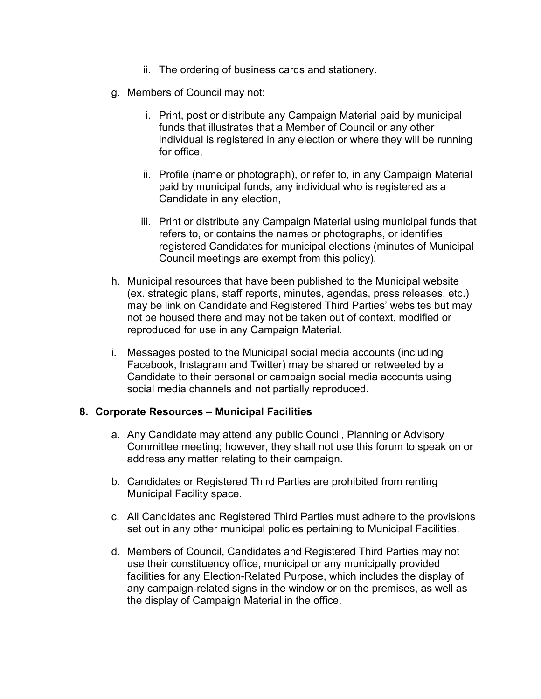- ii. The ordering of business cards and stationery.
- g. Members of Council may not:
	- i. Print, post or distribute any Campaign Material paid by municipal funds that illustrates that a Member of Council or any other individual is registered in any election or where they will be running for office,
	- ii. Profile (name or photograph), or refer to, in any Campaign Material paid by municipal funds, any individual who is registered as a Candidate in any election,
	- iii. Print or distribute any Campaign Material using municipal funds that refers to, or contains the names or photographs, or identifies registered Candidates for municipal elections (minutes of Municipal Council meetings are exempt from this policy).
- h. Municipal resources that have been published to the Municipal website (ex. strategic plans, staff reports, minutes, agendas, press releases, etc.) may be link on Candidate and Registered Third Parties' websites but may not be housed there and may not be taken out of context, modified or reproduced for use in any Campaign Material.
- i. Messages posted to the Municipal social media accounts (including Facebook, Instagram and Twitter) may be shared or retweeted by a Candidate to their personal or campaign social media accounts using social media channels and not partially reproduced.

#### **8. Corporate Resources – Municipal Facilities**

- a. Any Candidate may attend any public Council, Planning or Advisory Committee meeting; however, they shall not use this forum to speak on or address any matter relating to their campaign.
- b. Candidates or Registered Third Parties are prohibited from renting Municipal Facility space.
- c. All Candidates and Registered Third Parties must adhere to the provisions set out in any other municipal policies pertaining to Municipal Facilities.
- d. Members of Council, Candidates and Registered Third Parties may not use their constituency office, municipal or any municipally provided facilities for any Election-Related Purpose, which includes the display of any campaign-related signs in the window or on the premises, as well as the display of Campaign Material in the office.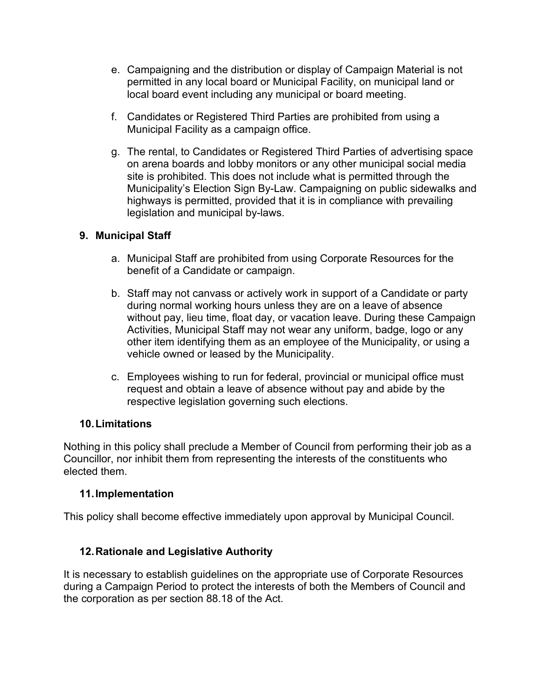- e. Campaigning and the distribution or display of Campaign Material is not permitted in any local board or Municipal Facility, on municipal land or local board event including any municipal or board meeting.
- f. Candidates or Registered Third Parties are prohibited from using a Municipal Facility as a campaign office.
- g. The rental, to Candidates or Registered Third Parties of advertising space on arena boards and lobby monitors or any other municipal social media site is prohibited. This does not include what is permitted through the Municipality's Election Sign By-Law. Campaigning on public sidewalks and highways is permitted, provided that it is in compliance with prevailing legislation and municipal by-laws.

# **9. Municipal Staff**

- a. Municipal Staff are prohibited from using Corporate Resources for the benefit of a Candidate or campaign.
- b. Staff may not canvass or actively work in support of a Candidate or party during normal working hours unless they are on a leave of absence without pay, lieu time, float day, or vacation leave. During these Campaign Activities, Municipal Staff may not wear any uniform, badge, logo or any other item identifying them as an employee of the Municipality, or using a vehicle owned or leased by the Municipality.
- c. Employees wishing to run for federal, provincial or municipal office must request and obtain a leave of absence without pay and abide by the respective legislation governing such elections.

# **10.Limitations**

Nothing in this policy shall preclude a Member of Council from performing their job as a Councillor, nor inhibit them from representing the interests of the constituents who elected them.

# **11.Implementation**

This policy shall become effective immediately upon approval by Municipal Council.

# **12.Rationale and Legislative Authority**

It is necessary to establish guidelines on the appropriate use of Corporate Resources during a Campaign Period to protect the interests of both the Members of Council and the corporation as per section 88.18 of the Act.